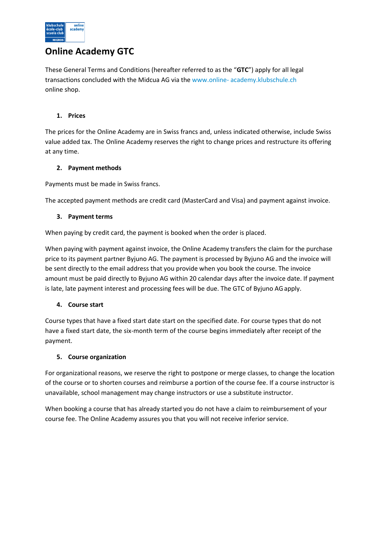

# **Online Academy GTC**

These General Terms and Conditions (hereafter referred to as the "**GTC**") apply for all legal transactions concluded with the Midcua AG via the [www.online-](http://www.online-academy.klubschule.ch/) [academy.klubschule.ch](http://www.online-academy.klubschule.ch/)  online shop.

# **1. Prices**

The prices for the Online Academy are in Swiss francs and, unless indicated otherwise, include Swiss value added tax. The Online Academy reserves the right to change prices and restructure its offering at any time.

# **2. Payment methods**

Payments must be made in Swiss francs.

The accepted payment methods are credit card (MasterCard and Visa) and payment against invoice.

# **3. Payment terms**

When paying by credit card, the payment is booked when the order is placed.

When paying with payment against invoice, the Online Academy transfers the claim for the purchase price to its payment partner Byjuno AG. The payment is processed by Byjuno AG and the invoice will be sent directly to the email address that you provide when you book the course. The invoice amount must be paid directly to Byjuno AG within 20 calendar days after the invoice date. If payment is late, late payment interest and processing fees will be due. The GTC of Byjuno AG apply.

# **4. Course start**

Course types that have a fixed start date start on the specified date. For course types that do not have a fixed start date, the six-month term of the course begins immediately after receipt of the payment.

# **5. Course organization**

For organizational reasons, we reserve the right to postpone or merge classes, to change the location of the course or to shorten courses and reimburse a portion of the course fee. If a course instructor is unavailable, school management may change instructors or use a substitute instructor.

When booking a course that has already started you do not have a claim to reimbursement of your course fee. The Online Academy assures you that you will not receive inferior service.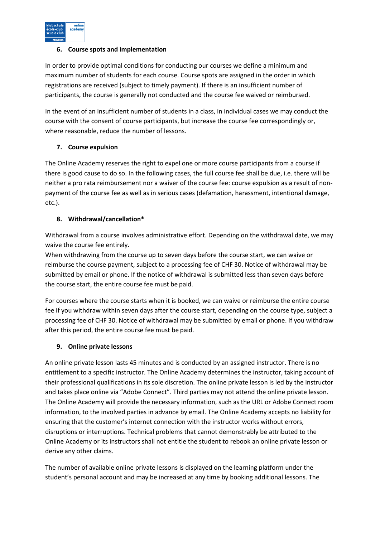

# **6. Course spots and implementation**

In order to provide optimal conditions for conducting our courses we define a minimum and maximum number of students for each course. Course spots are assigned in the order in which registrations are received (subject to timely payment). If there is an insufficient number of participants, the course is generally not conducted and the course fee waived or reimbursed.

In the event of an insufficient number of students in a class, in individual cases we may conduct the course with the consent of course participants, but increase the course fee correspondingly or, where reasonable, reduce the number of lessons.

# **7. Course expulsion**

The Online Academy reserves the right to expel one or more course participants from a course if there is good cause to do so. In the following cases, the full course fee shall be due, i.e. there will be neither a pro rata reimbursement nor a waiver of the course fee: course expulsion as a result of nonpayment of the course fee as well as in serious cases (defamation, harassment, intentional damage, etc.).

# **8. Withdrawal/cancellation\***

Withdrawal from a course involves administrative effort. Depending on the withdrawal date, we may waive the course fee entirely.

When withdrawing from the course up to seven days before the course start, we can waive or reimburse the course payment, subject to a processing fee of CHF 30. Notice of withdrawal may be submitted by email or phone. If the notice of withdrawal is submitted less than seven days before the course start, the entire course fee must be paid.

For courses where the course starts when it is booked, we can waive or reimburse the entire course fee if you withdraw within seven days after the course start, depending on the course type, subject a processing fee of CHF 30. Notice of withdrawal may be submitted by email or phone. If you withdraw after this period, the entire course fee must be paid.

# **9. Online private lessons**

An online private lesson lasts 45 minutes and is conducted by an assigned instructor. There is no entitlement to a specific instructor. The Online Academy determines the instructor, taking account of their professional qualifications in its sole discretion. The online private lesson is led by the instructor and takes place online via "Adobe Connect". Third parties may not attend the online private lesson. The Online Academy will provide the necessary information, such as the URL or Adobe Connect room information, to the involved parties in advance by email. The Online Academy accepts no liability for ensuring that the customer's internet connection with the instructor works without errors, disruptions or interruptions. Technical problems that cannot demonstrably be attributed to the Online Academy or its instructors shall not entitle the student to rebook an online private lesson or derive any other claims.

The number of available online private lessons is displayed on the learning platform under the student's personal account and may be increased at any time by booking additional lessons. The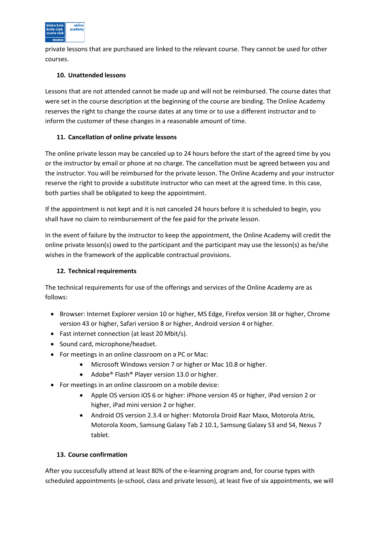

private lessons that are purchased are linked to the relevant course. They cannot be used for other courses.

# **10. Unattended lessons**

Lessons that are not attended cannot be made up and will not be reimbursed. The course dates that were set in the course description at the beginning of the course are binding. The Online Academy reserves the right to change the course dates at any time or to use a different instructor and to inform the customer of these changes in a reasonable amount of time.

# **11. Cancellation of online private lessons**

The online private lesson may be canceled up to 24 hours before the start of the agreed time by you or the instructor by email or phone at no charge. The cancellation must be agreed between you and the instructor. You will be reimbursed for the private lesson. The Online Academy and your instructor reserve the right to provide a substitute instructor who can meet at the agreed time. In this case, both parties shall be obligated to keep the appointment.

If the appointment is not kept and it is not canceled 24 hours before it is scheduled to begin, you shall have no claim to reimbursement of the fee paid for the private lesson.

In the event of failure by the instructor to keep the appointment, the Online Academy will credit the online private lesson(s) owed to the participant and the participant may use the lesson(s) as he/she wishes in the framework of the applicable contractual provisions.

# **12. Technical requirements**

The technical requirements for use of the offerings and services of the Online Academy are as follows:

- Browser: Internet Explorer version 10 or higher, MS Edge, Firefox version 38 or higher, Chrome version 43 or higher, Safari version 8 or higher, Android version 4 or higher.
- Fast internet connection (at least 20 Mbit/s).
- Sound card, microphone/headset.
- For meetings in an online classroom on a PC or Mac:
	- Microsoft Windows version 7 or higher or Mac 10.8 or higher.
	- Adobe® Flash® Player version 13.0 or higher.
- For meetings in an online classroom on a mobile device:
	- Apple OS version iOS 6 or higher: iPhone version 4S or higher, iPad version 2 or higher, iPad mini version 2 or higher.
	- Android OS version 2.3.4 or higher: Motorola Droid Razr Maxx, Motorola Atrix, Motorola Xoom, Samsung Galaxy Tab 2 10.1, Samsung Galaxy S3 and S4, Nexus 7 tablet.

# **13. Course confirmation**

After you successfully attend at least 80% of the e-learning program and, for course types with scheduled appointments (e-school, class and private lesson), at least five of six appointments, we will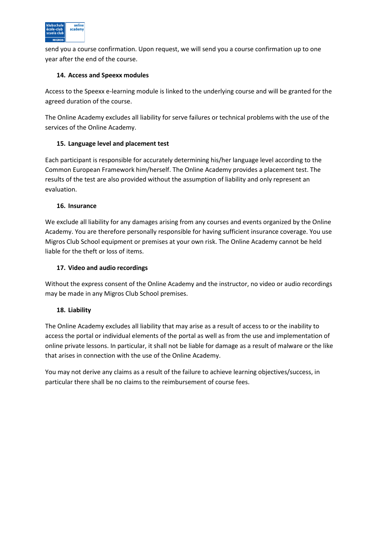

send you a course confirmation. Upon request, we will send you a course confirmation up to one year after the end of the course.

# **14. Access and Speexx modules**

Access to the Speexx e-learning module is linked to the underlying course and will be granted for the agreed duration of the course.

The Online Academy excludes all liability for serve failures or technical problems with the use of the services of the Online Academy.

# **15. Language level and placement test**

Each participant is responsible for accurately determining his/her language level according to the Common European Framework him/herself. The Online Academy provides a placement test. The results of the test are also provided without the assumption of liability and only represent an evaluation.

# **16. Insurance**

We exclude all liability for any damages arising from any courses and events organized by the Online Academy. You are therefore personally responsible for having sufficient insurance coverage. You use Migros Club School equipment or premises at your own risk. The Online Academy cannot be held liable for the theft or loss of items.

# **17. Video and audio recordings**

Without the express consent of the Online Academy and the instructor, no video or audio recordings may be made in any Migros Club School premises.

# **18. Liability**

The Online Academy excludes all liability that may arise as a result of access to or the inability to access the portal or individual elements of the portal as well as from the use and implementation of online private lessons. In particular, it shall not be liable for damage as a result of malware or the like that arises in connection with the use of the Online Academy.

You may not derive any claims as a result of the failure to achieve learning objectives/success, in particular there shall be no claims to the reimbursement of course fees.